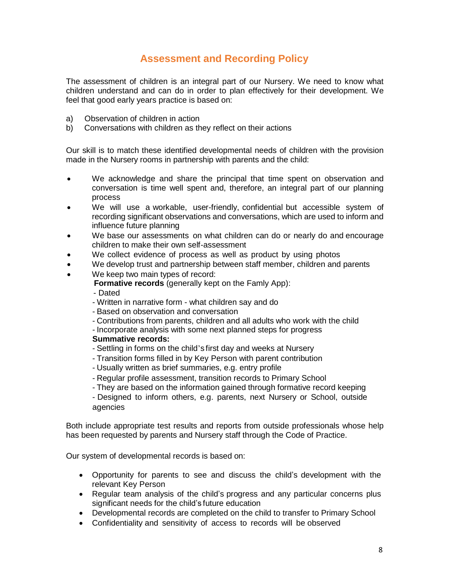## **Assessment and Recording Policy**

The assessment of children is an integral part of our Nursery. We need to know what children understand and can do in order to plan effectively for their development. We feel that good early years practice is based on:

- a) Observation of children in action
- b) Conversations with children as they reflect on their actions

Our skill is to match these identified developmental needs of children with the provision made in the Nursery rooms in partnership with parents and the child:

- We acknowledge and share the principal that time spent on observation and conversation is time well spent and, therefore, an integral part of our planning process
- We will use a workable, user-friendly, confidential but accessible system of recording significant observations and conversations, which are used to inform and influence future planning
- We base our assessments on what children can do or nearly do and encourage children to make their own self-assessment
- We collect evidence of process as well as product by using photos
- We develop trust and partnership between staff member, children and parents
- We keep two main types of record:

 **Formative records** (generally kept on the Famly App):

- Dated

- Written in narrative form what children say and do
- Based on observation and conversation
- Contributions from parents, children and all adults who work with the child
- Incorporate analysis with some next planned steps for progress

## **Summative records:**

- Settling in forms on the child's first day and weeks at Nursery
- Transition forms filled in by Key Person with parent contribution
- Usually written as brief summaries, e.g. entry profile
- Regular profile assessment, transition records to Primary School
- They are based on the information gained through formative record keeping

- Designed to inform others, e.g. parents, next Nursery or School, outside agencies

Both include appropriate test results and reports from outside professionals whose help has been requested by parents and Nursery staff through the Code of Practice.

Our system of developmental records is based on:

- Opportunity for parents to see and discuss the child's development with the relevant Key Person
- Regular team analysis of the child's progress and any particular concerns plus significant needs for the child's future education
- Developmental records are completed on the child to transfer to Primary School
- Confidentiality and sensitivity of access to records will be observed